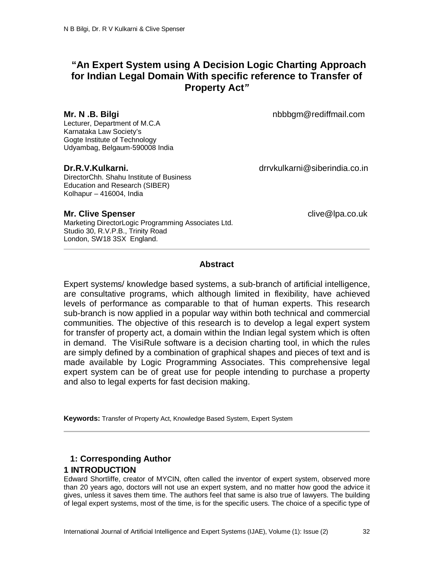# **"An Expert System using A Decision Logic Charting Approach for Indian Legal Domain With specific reference to Transfer of Property Act***"*

Lecturer, Department of M.C.A Karnataka Law Society's Gogte Institute of Technology Udyambag, Belgaum-590008 India

DirectorChh. Shahu Institute of Business Education and Research (SIBER) Kolhapur – 416004, India

**Mr. N .B. Bilgi** nbbbgm@rediffmail.com

**Dr.R.V.Kulkarni.** drrvkulkarni@siberindia.co.in

**Mr. Clive Spenser Clive Spenser clive Clive Clive Clive Clive Clive Clive Clive Clive Clive Clive Clive Clive Clive Clive Clive Clive Clive Clive Clive Clive Clive Clive Clive Clive Clive Clive Clive Clive Clive Cliv** 

Marketing DirectorLogic Programming Associates Ltd. Studio 30, R.V.P.B., Trinity Road London, SW18 3SX England.

## **Abstract**

Expert systems/ knowledge based systems, a sub-branch of artificial intelligence, are consultative programs, which although limited in flexibility, have achieved levels of performance as comparable to that of human experts. This research sub-branch is now applied in a popular way within both technical and commercial communities. The objective of this research is to develop a legal expert system for transfer of property act, a domain within the Indian legal system which is often in demand. The VisiRule software is a decision charting tool, in which the rules are simply defined by a combination of graphical shapes and pieces of text and is made available by Logic Programming Associates. This comprehensive legal expert system can be of great use for people intending to purchase a property and also to legal experts for fast decision making.

**Keywords:** Transfer of Property Act, Knowledge Based System, Expert System

## **1: Corresponding Author 1 INTRODUCTION**

Edward Shortliffe, creator of MYCIN, often called the inventor of expert system, observed more than 20 years ago, doctors will not use an expert system, and no matter how good the advice it gives, unless it saves them time. The authors feel that same is also true of lawyers. The building of legal expert systems, most of the time, is for the specific users. The choice of a specific type of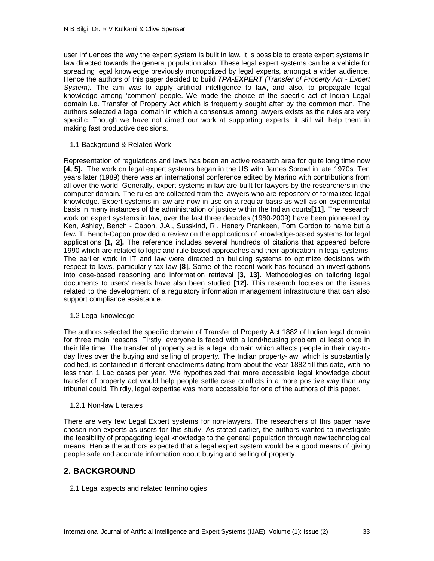user influences the way the expert system is built in law. It is possible to create expert systems in law directed towards the general population also. These legal expert systems can be a vehicle for spreading legal knowledge previously monopolized by legal experts, amongst a wider audience. Hence the authors of this paper decided to build *TPA-EXPERT (Transfer of Property Act - Expert System).* The aim was to apply artificial intelligence to law, and also, to propagate legal knowledge among 'common' people. We made the choice of the specific act of Indian Legal domain i.e. Transfer of Property Act which is frequently sought after by the common man. The authors selected a legal domain in which a consensus among lawyers exists as the rules are very specific. Though we have not aimed our work at supporting experts, it still will help them in making fast productive decisions.

### 1.1 Background & Related Work

Representation of regulations and laws has been an active research area for quite long time now **[4, 5].** The work on legal expert systems began in the US with James Sprowl in late 1970s. Ten years later (1989) there was an international conference edited by Marino with contributions from all over the world. Generally, expert systems in law are built for lawyers by the researchers in the computer domain. The rules are collected from the lawyers who are repository of formalized legal knowledge. Expert systems in law are now in use on a regular basis as well as on experimental basis in many instances of the administration of justice within the Indian courts**[11].** The research work on expert systems in law, over the last three decades (1980-2009) have been pioneered by Ken, Ashley, Bench - Capon, J.A., Susskind, R., Henery Prankeen, Tom Gordon to name but a few**.** T. Bench-Capon provided a review on the applications of knowledge-based systems for legal applications **[1, 2].** The reference includes several hundreds of citations that appeared before 1990 which are related to logic and rule based approaches and their application in legal systems. The earlier work in IT and law were directed on building systems to optimize decisions with respect to laws, particularly tax law **[8].** Some of the recent work has focused on investigations into case-based reasoning and information retrieval **[3, 13].** Methodologies on tailoring legal documents to users' needs have also been studied **[12].** This research focuses on the issues related to the development of a regulatory information management infrastructure that can also support compliance assistance.

#### 1.2 Legal knowledge

The authors selected the specific domain of Transfer of Property Act 1882 of Indian legal domain for three main reasons. Firstly, everyone is faced with a land/housing problem at least once in their life time. The transfer of property act is a legal domain which affects people in their day-today lives over the buying and selling of property. The Indian property-law, which is substantially codified, is contained in different enactments dating from about the year 1882 till this date, with no less than 1 Lac cases per year. We hypothesized that more accessible legal knowledge about transfer of property act would help people settle case conflicts in a more positive way than any tribunal could. Thirdly, legal expertise was more accessible for one of the authors of this paper.

### 1.2.1 Non-law Literates

There are very few Legal Expert systems for non-lawyers. The researchers of this paper have chosen non-experts as users for this study. As stated earlier, the authors wanted to investigate the feasibility of propagating legal knowledge to the general population through new technological means. Hence the authors expected that a legal expert system would be a good means of giving people safe and accurate information about buying and selling of property.

## **2. BACKGROUND**

2.1 Legal aspects and related terminologies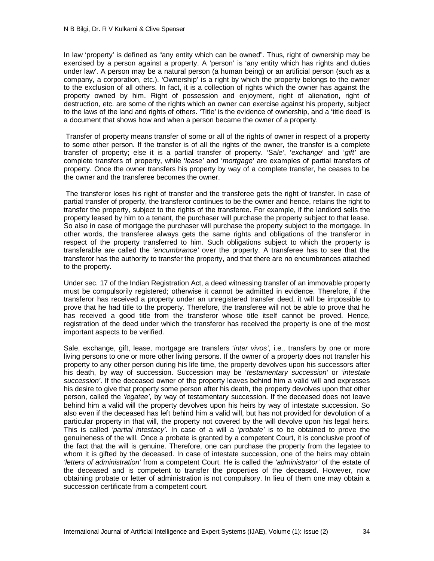In law 'property' is defined as "any entity which can be owned". Thus, right of ownership may be exercised by a person against a property. A 'person' is 'any entity which has rights and duties under law'. A person may be a natural person (a human being) or an artificial person (such as a company, a corporation, etc.). 'Ownership' is a right by which the property belongs to the owner to the exclusion of all others. In fact, it is a collection of rights which the owner has against the property owned by him. Right of possession and enjoyment, right of alienation, right of destruction, etc. are some of the rights which an owner can exercise against his property, subject to the laws of the land and rights of others. 'Title' is the evidence of ownership, and a 'title deed' is a document that shows how and when a person became the owner of a property.

Transfer of property means transfer of some or all of the rights of owner in respect of a property to some other person. If the transfer is of all the rights of the owner, the transfer is a complete transfer of property; else it is a partial transfer of property. 'Sa*le'*, '*exchange*' and '*gift'* are complete transfers of property, while '*lease'* and '*mortgage'* are examples of partial transfers of property. Once the owner transfers his property by way of a complete transfer, he ceases to be the owner and the transferee becomes the owner.

 The transferor loses his right of transfer and the transferee gets the right of transfer. In case of partial transfer of property, the transferor continues to be the owner and hence, retains the right to transfer the property, subject to the rights of the transferee. For example, if the landlord sells the property leased by him to a tenant, the purchaser will purchase the property subject to that lease. So also in case of mortgage the purchaser will purchase the property subject to the mortgage. In other words, the transferee always gets the same rights and obligations of the transferor in respect of the property transferred to him. Such obligations subject to which the property is transferable are called the *'encumbrance'* over the property. A transferee has to see that the transferor has the authority to transfer the property, and that there are no encumbrances attached to the property.

Under sec. 17 of the Indian Registration Act, a deed witnessing transfer of an immovable property must be compulsorily registered; otherwise it cannot be admitted in evidence. Therefore, if the transferor has received a property under an unregistered transfer deed, it will be impossible to prove that he had title to the property. Therefore, the transferee will not be able to prove that he has received a good title from the transferor whose title itself cannot be proved. Hence, registration of the deed under which the transferor has received the property is one of the most important aspects to be verified.

Sale, exchange, gift, lease, mortgage are transfers '*inter vivos'*, i.e., transfers by one or more living persons to one or more other living persons. If the owner of a property does not transfer his property to any other person during his life time, the property devolves upon his successors after his death, by way of succession. Succession may be '*testamentary succession'* or '*intestate succession'*. If the deceased owner of the property leaves behind him a valid will and expresses his desire to give that property some person after his death, the property devolves upon that other person, called the *'legatee'*, by way of testamentary succession. If the deceased does not leave behind him a valid will the property devolves upon his heirs by way of intestate succession. So also even if the deceased has left behind him a valid will, but has not provided for devolution of a particular property in that will, the property not covered by the will devolve upon his legal heirs. This is called *'partial intestacy'*. In case of a will a *'probate'* is to be obtained to prove the genuineness of the will. Once a probate is granted by a competent Court, it is conclusive proof of the fact that the will is genuine. Therefore, one can purchase the property from the legatee to whom it is gifted by the deceased. In case of intestate succession, one of the heirs may obtain *'letters of administration'* from a competent Court. He is called the *'administrator'* of the estate of the deceased and is competent to transfer the properties of the deceased. However, now obtaining probate or letter of administration is not compulsory. In lieu of them one may obtain a succession certificate from a competent court.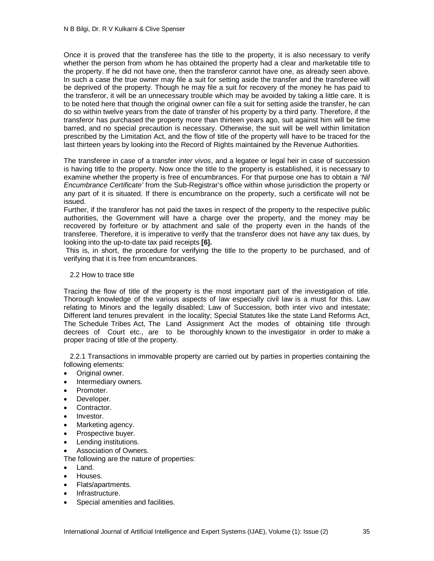Once it is proved that the transferee has the title to the property, it is also necessary to verify whether the person from whom he has obtained the property had a clear and marketable title to the property. If he did not have one, then the transferor cannot have one, as already seen above. In such a case the true owner may file a suit for setting aside the transfer and the transferee will be deprived of the property. Though he may file a suit for recovery of the money he has paid to the transferor, it will be an unnecessary trouble which may be avoided by taking a little care. It is to be noted here that though the original owner can file a suit for setting aside the transfer, he can do so within twelve years from the date of transfer of his property by a third party. Therefore, if the transferor has purchased the property more than thirteen years ago, suit against him will be time barred, and no special precaution is necessary. Otherwise, the suit will be well within limitation prescribed by the Limitation Act, and the flow of title of the property will have to be traced for the last thirteen years by looking into the Record of Rights maintained by the Revenue Authorities.

The transferee in case of a transfer *inter vivos*, and a legatee or legal heir in case of succession is having title to the property. Now once the title to the property is established, it is necessary to examine whether the property is free of encumbrances. For that purpose one has to obtain a *'Nil Encumbrance Certificate'* from the Sub-Registrar's office within whose jurisdiction the property or any part of it is situated. If there is encumbrance on the property, such a certificate will not be issued.

Further, if the transferor has not paid the taxes in respect of the property to the respective public authorities, the Government will have a charge over the property, and the money may be recovered by forfeiture or by attachment and sale of the property even in the hands of the transferee. Therefore, it is imperative to verify that the transferor does not have any tax dues, by looking into the up-to-date tax paid receipts **[6].**

This is, in short, the procedure for verifying the title to the property to be purchased, and of verifying that it is free from encumbrances.

### 2.2 How to trace title

Tracing the flow of title of the property is the most important part of the investigation of title. Thorough knowledge of the various aspects of law especially civil law is a must for this. Law relating to Minors and the legally disabled; Law of Succession, both inter vivo and intestate; Different land tenures prevalent in the locality; Special Statutes like the state Land Reforms Act, The Schedule Tribes Act, The Land Assignment Act the modes of obtaining title through decrees of Court etc., are to be thoroughly known to the investigator in order to make a proper tracing of title of the property.

 2.2.1 Transactions in immovable property are carried out by parties in properties containing the following elements:

- Original owner.
- Intermediary owners.
- Promoter.
- Developer.
- Contractor.
- Investor.
- Marketing agency.
- Prospective buver.
- Lending institutions.
- Association of Owners.

The following are the nature of properties:

- Land.
- Houses.
- Flats/apartments.
- Infrastructure.
- Special amenities and facilities.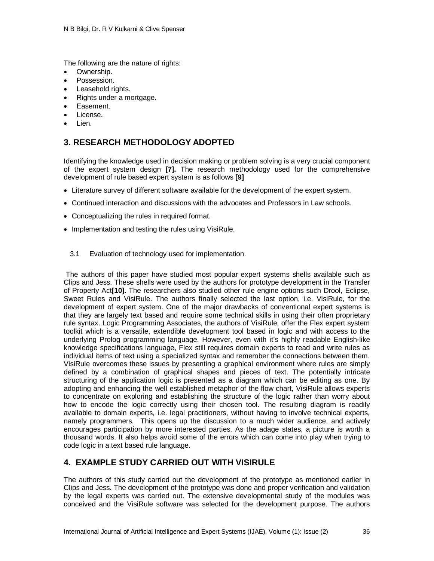The following are the nature of rights:

- Ownership.
- Possession.
- Leasehold rights.
- Rights under a mortgage.
- Easement.
- License.
- Lien.

## **3. RESEARCH METHODOLOGY ADOPTED**

Identifying the knowledge used in decision making or problem solving is a very crucial component of the expert system design **[7].** The research methodology used for the comprehensive development of rule based expert system is as follows **[9]**

- Literature survey of different software available for the development of the expert system.
- Continued interaction and discussions with the advocates and Professors in Law schools.
- Conceptualizing the rules in required format.
- Implementation and testing the rules using VisiRule.
	- 3.1 Evaluation of technology used for implementation.

The authors of this paper have studied most popular expert systems shells available such as Clips and Jess. These shells were used by the authors for prototype development in the Transfer of Property Act**[10].** The researchers also studied other rule engine options such Drool, Eclipse, Sweet Rules and VisiRule. The authors finally selected the last option, i.e. VisiRule, for the development of expert system. One of the major drawbacks of conventional expert systems is that they are largely text based and require some technical skills in using their often proprietary rule syntax. Logic Programming Associates, the authors of VisiRule, offer the Flex expert system toolkit which is a versatile, extendible development tool based in logic and with access to the underlying Prolog programming language. However, even with it's highly readable English-like knowledge specifications language, Flex still requires domain experts to read and write rules as individual items of text using a specialized syntax and remember the connections between them. VisiRule overcomes these issues by presenting a graphical environment where rules are simply defined by a combination of graphical shapes and pieces of text. The potentially intricate structuring of the application logic is presented as a diagram which can be editing as one. By adopting and enhancing the well established metaphor of the flow chart, VisiRule allows experts to concentrate on exploring and establishing the structure of the logic rather than worry about how to encode the logic correctly using their chosen tool. The resulting diagram is readily available to domain experts, i.e. legal practitioners, without having to involve technical experts, namely programmers. This opens up the discussion to a much wider audience, and actively encourages participation by more interested parties. As the adage states, a picture is worth a thousand words. It also helps avoid some of the errors which can come into play when trying to code logic in a text based rule language.

## **4. EXAMPLE STUDY CARRIED OUT WITH VISIRULE**

The authors of this study carried out the development of the prototype as mentioned earlier in Clips and Jess. The development of the prototype was done and proper verification and validation by the legal experts was carried out. The extensive developmental study of the modules was conceived and the VisiRule software was selected for the development purpose. The authors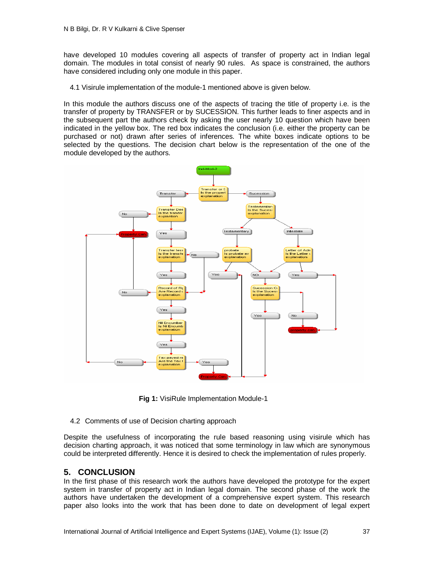have developed 10 modules covering all aspects of transfer of property act in Indian legal domain. The modules in total consist of nearly 90 rules. As space is constrained, the authors have considered including only one module in this paper.

4.1 Visirule implementation of the module-1 mentioned above is given below.

In this module the authors discuss one of the aspects of tracing the title of property i.e. is the transfer of property by TRANSFER or by SUCESSION. This further leads to finer aspects and in the subsequent part the authors check by asking the user nearly 10 question which have been indicated in the yellow box. The red box indicates the conclusion (i.e. either the property can be purchased or not) drawn after series of inferences. The white boxes indicate options to be selected by the questions. The decision chart below is the representation of the one of the module developed by the authors.



**Fig 1:** VisiRule Implementation Module-1

4.2 Comments of use of Decision charting approach

Despite the usefulness of incorporating the rule based reasoning using visirule which has decision charting approach, it was noticed that some terminology in law which are synonymous could be interpreted differently. Hence it is desired to check the implementation of rules properly.

## **5. CONCLUSION**

In the first phase of this research work the authors have developed the prototype for the expert system in transfer of property act in Indian legal domain. The second phase of the work the authors have undertaken the development of a comprehensive expert system. This research paper also looks into the work that has been done to date on development of legal expert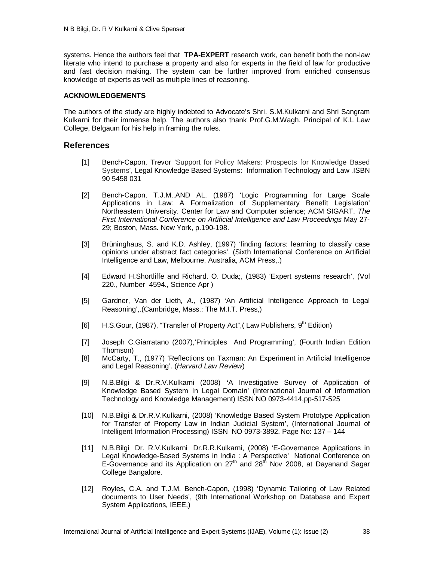systems. Hence the authors feel that **TPA-EXPERT** research work, can benefit both the non-law literate who intend to purchase a property and also for experts in the field of law for productive and fast decision making. The system can be further improved from enriched consensus knowledge of experts as well as multiple lines of reasoning.

#### **ACKNOWLEDGEMENTS**

The authors of the study are highly indebted to Advocate's Shri. S.M.Kulkarni and Shri Sangram Kulkarni for their immense help. The authors also thank Prof.G.M.Wagh. Principal of K.L Law College, Belgaum for his help in framing the rules.

#### **References**

- [1] Bench-Capon, Trevor 'Support for Policy Makers: Prospects for Knowledge Based Systems', Legal Knowledge Based Systems: Information Technology and Law .ISBN 90 5458 031
- [2] Bench-Capon, T.J.M..AND AL. (1987) 'Logic Programming for Large Scale Applications in Law: A Formalization of Supplementary Benefit Legislation' Northeastern University. Center for Law and Computer science; ACM SIGART. *The First International Conference on Artificial Intelligence and Law Proceedings* May 27- 29; Boston, Mass. New York, p.190-198.
- [3] Brüninghaus, S. and K.D. Ashley, (1997) 'finding factors: learning to classify case opinions under abstract fact categories'. (Sixth International Conference on Artificial Intelligence and Law, Melbourne, Australia, ACM Press,.)
- [4] Edward H.Shortliffe and Richard. O. Duda;, (1983) 'Expert systems research', (Vol 220., Number 4594., Science Apr )
- [5] Gardner, Van der Lieth*, A.,* (1987) *'*An Artificial Intelligence Approach to Legal Reasoning',.(Cambridge, Mass.: The M.I.T. Press,)
- [6] H.S.Gour, (1987), "Transfer of Property Act", (Law Publishers, 9<sup>th</sup> Edition)
- [7] Joseph C.Giarratano (2007),'Principles And Programming', (Fourth Indian Edition Thomson)
- [8] McCarty, T., (1977) 'Reflections on Taxman: An Experiment in Artificial Intelligence and Legal Reasoning'. (*Harvard Law Review*)
- [9] N.B.Bilgi & Dr.R.V.Kulkarni (2008) **'**A Investigative Survey of Application of Knowledge Based System In Legal Domain' (International Journal of Information Technology and Knowledge Management) ISSN NO 0973-4414,pp-517-525
- [10] N.B.Bilgi & Dr.R.V.Kulkarni, (2008) 'Knowledge Based System Prototype Application for Transfer of Property Law in Indian Judicial System', (International Journal of Intelligent Information Processing) ISSN NO 0973-3892. Page No: 137 – 144
- [11] N.B.Bilgi Dr. R.V.Kulkarni Dr.R.R.Kulkarni, (2008) 'E-Governance Applications in Legal Knowledge-Based Systems in India : A Perspective' National Conference on E-Governance and its Application on  $27<sup>th</sup>$  and  $28<sup>th</sup>$  Nov 2008, at Dayanand Sagar College Bangalore.
- [12] Royles, C.A. and T.J.M. Bench-Capon, (1998) 'Dynamic Tailoring of Law Related documents to User Needs', (9th International Workshop on Database and Expert System Applications, IEEE,)